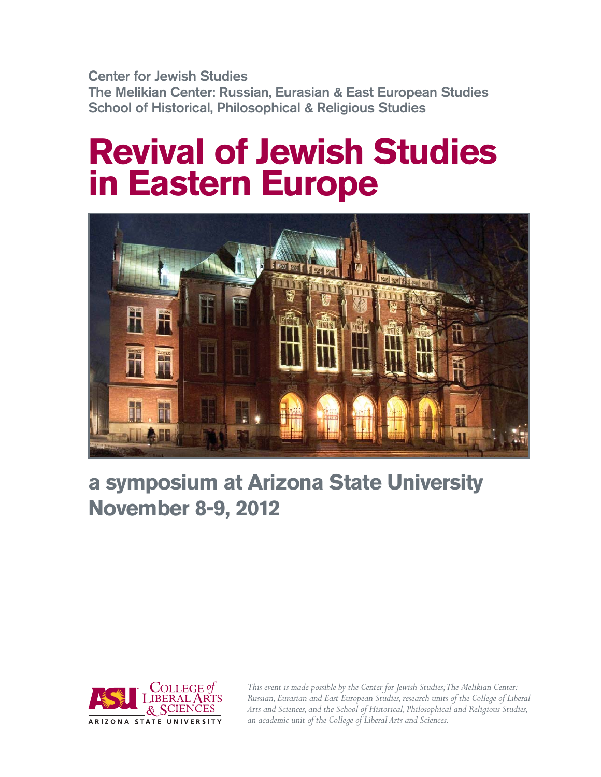**Center for Jewish Studies The Melikian Center: Russian, Eurasian & East European Studies School of Historical, Philosophical & Religious Studies** 

# **Revival of Jewish Studies in Eastern Europe**



## **a symposium at Arizona State University November 8-9, 2012**



*This event is made possible by the Center for Jewish Studies; The Melikian Center: Russian, Eurasian and East European Studies, research units of the College of Liberal Arts and Sciences, and the School of Historical, Philosophical and Religious Studies, an academic unit of the College of Liberal Arts and Sciences.*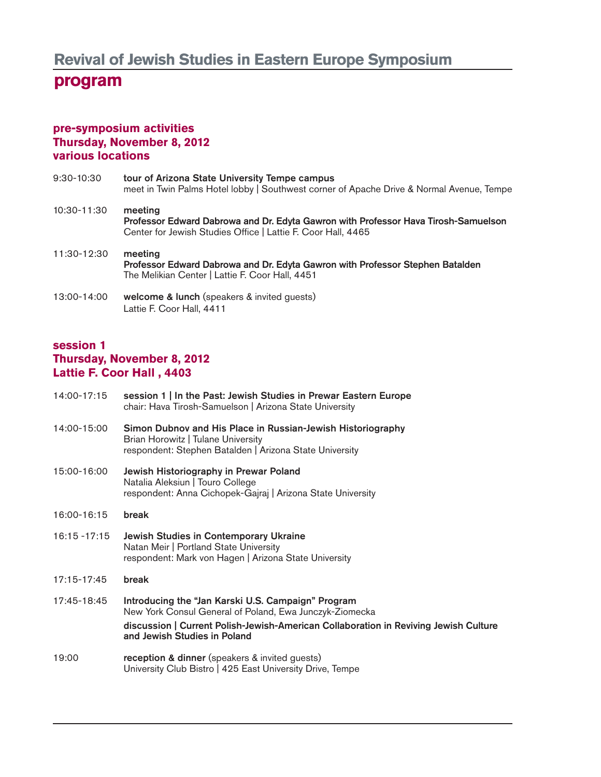### **program**

#### **pre-symposium activities Thursday, November 8, 2012 various locations**

- 9:30-10:30 **tour of Arizona State University Tempe campus** meet in Twin Palms Hotel lobby | Southwest corner of Apache Drive & Normal Avenue, Tempe 10:30-11:30 **meeting Professor Edward Dabrowa and Dr. Edyta Gawron with Professor Hava Tirosh-Samuelson** Center for Jewish Studies Office | Lattie F. Coor Hall, 4465 11:30-12:30 **meeting Professor Edward Dabrowa and Dr. Edyta Gawron with Professor Stephen Batalden** The Melikian Center | Lattie F. Coor Hall, 4451
- 13:00-14:00 **welcome & lunch** (speakers & invited guests) Lattie F. Coor Hall, 4411

#### **session 1 Thursday, November 8, 2012 Lattie F. Coor Hall , 4403**

14:00-17:15 **session 1 | In the Past: Jewish Studies in Prewar Eastern Europe**  chair: Hava Tirosh-Samuelson | Arizona State University 14:00-15:00 **Simon Dubnov and His Place in Russian-Jewish Historiography** Brian Horowitz | Tulane University respondent: Stephen Batalden | Arizona State University 15:00-16:00 **Jewish Historiography in Prewar Poland** Natalia Aleksiun | Touro College respondent: Anna Cichopek-Gajraj | Arizona State University 16:00-16:15 **break** 16:15 -17:15 **Jewish Studies in Contemporary Ukraine**  Natan Meir | Portland State University respondent: Mark von Hagen | Arizona State University 17:15-17:45 **break** 17:45-18:45 **Introducing the "Jan Karski U.S. Campaign" Program** New York Consul General of Poland, Ewa Junczyk-Ziomecka **discussion | Current Polish-Jewish-American Collaboration in Reviving Jewish Culture and Jewish Studies in Poland** 19:00 **reception & dinner** (speakers & invited guests) University Club Bistro | 425 East University Drive, Tempe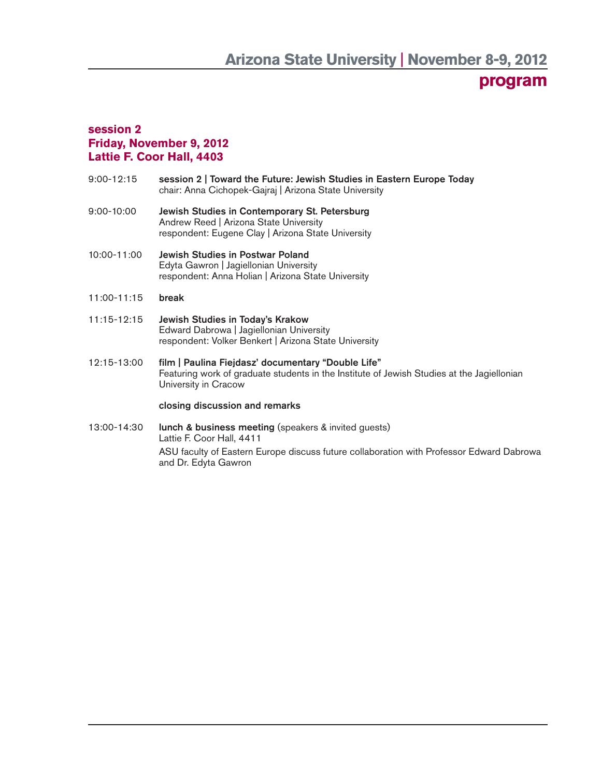## **program**

#### **session 2 Friday, November 9, 2012 Lattie F. Coor Hall, 4403**

- 9:00-12:15 **session 2 | Toward the Future: Jewish Studies in Eastern Europe Today** chair: Anna Cichopek-Gajraj | Arizona State University
- 9:00-10:00 **Jewish Studies in Contemporary St. Petersburg**  Andrew Reed | Arizona State University respondent: Eugene Clay | Arizona State University
- 10:00-11:00 **Jewish Studies in Postwar Poland**  Edyta Gawron | Jagiellonian University respondent: Anna Holian | Arizona State University
- 11:00-11:15 **break**
- 11:15-12:15 **Jewish Studies in Today's Krakow** Edward Dabrowa | Jagiellonian University respondent: Volker Benkert | Arizona State University
- 12:15-13:00 **fi lm | Paulina Fiejdasz' documentary "Double Life"** Featuring work of graduate students in the Institute of Jewish Studies at the Jagiellonian University in Cracow

#### **closing discussion and remarks**

13:00-14:30 **lunch & business meeting** (speakers & invited guests) Lattie F. Coor Hall, 4411 ASU faculty of Eastern Europe discuss future collaboration with Professor Edward Dabrowa and Dr. Edyta Gawron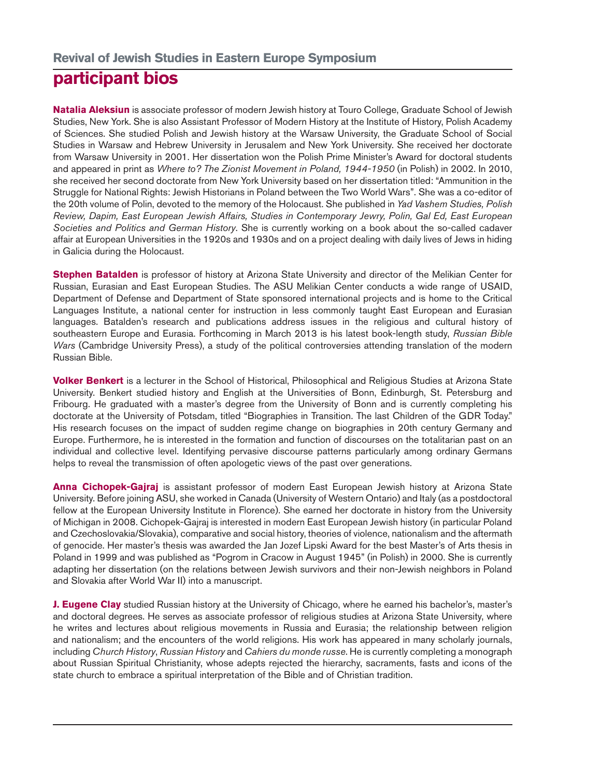## **participant bios**

**Natalia Aleksiun** is associate professor of modern Jewish history at Touro College, Graduate School of Jewish Studies, New York. She is also Assistant Professor of Modern History at the Institute of History, Polish Academy of Sciences. She studied Polish and Jewish history at the Warsaw University, the Graduate School of Social Studies in Warsaw and Hebrew University in Jerusalem and New York University. She received her doctorate from Warsaw University in 2001. Her dissertation won the Polish Prime Minister's Award for doctoral students and appeared in print as Where to? The Zionist Movement in Poland, 1944-1950 (in Polish) in 2002. In 2010, she received her second doctorate from New York University based on her dissertation titled: "Ammunition in the Struggle for National Rights: Jewish Historians in Poland between the Two World Wars". She was a co-editor of the 20th volume of Polin, devoted to the memory of the Holocaust. She published in Yad Vashem Studies, Polish Review, Dapim, East European Jewish Affairs, Studies in Contemporary Jewry, Polin, Gal Ed, East European Societies and Politics and German History. She is currently working on a book about the so-called cadaver affair at European Universities in the 1920s and 1930s and on a project dealing with daily lives of Jews in hiding in Galicia during the Holocaust.

**Stephen Batalden** is professor of history at Arizona State University and director of the Melikian Center for Russian, Eurasian and East European Studies. The ASU Melikian Center conducts a wide range of USAID, Department of Defense and Department of State sponsored international projects and is home to the Critical Languages Institute, a national center for instruction in less commonly taught East European and Eurasian languages. Batalden's research and publications address issues in the religious and cultural history of southeastern Europe and Eurasia. Forthcoming in March 2013 is his latest book-length study, Russian Bible Wars (Cambridge University Press), a study of the political controversies attending translation of the modern Russian Bible.

**Volker Benkert** is a lecturer in the School of Historical, Philosophical and Religious Studies at Arizona State University. Benkert studied history and English at the Universities of Bonn, Edinburgh, St. Petersburg and Fribourg. He graduated with a master's degree from the University of Bonn and is currently completing his doctorate at the University of Potsdam, titled "Biographies in Transition. The last Children of the GDR Today." His research focuses on the impact of sudden regime change on biographies in 20th century Germany and Europe. Furthermore, he is interested in the formation and function of discourses on the totalitarian past on an individual and collective level. Identifying pervasive discourse patterns particularly among ordinary Germans helps to reveal the transmission of often apologetic views of the past over generations.

**Anna Cichopek-Gajraj** is assistant professor of modern East European Jewish history at Arizona State University. Before joining ASU, she worked in Canada (University of Western Ontario) and Italy (as a postdoctoral fellow at the European University Institute in Florence). She earned her doctorate in history from the University of Michigan in 2008. Cichopek-Gajraj is interested in modern East European Jewish history (in particular Poland and Czechoslovakia/Slovakia), comparative and social history, theories of violence, nationalism and the aftermath of genocide. Her master's thesis was awarded the Jan Jozef Lipski Award for the best Master's of Arts thesis in Poland in 1999 and was published as "Pogrom in Cracow in August 1945" (in Polish) in 2000. She is currently adapting her dissertation (on the relations between Jewish survivors and their non-Jewish neighbors in Poland and Slovakia after World War II) into a manuscript.

**J. Eugene Clay** studied Russian history at the University of Chicago, where he earned his bachelor's, master's and doctoral degrees. He serves as associate professor of religious studies at Arizona State University, where he writes and lectures about religious movements in Russia and Eurasia; the relationship between religion and nationalism; and the encounters of the world religions. His work has appeared in many scholarly journals, including Church History, Russian History and Cahiers du monde russe. He is currently completing a monograph about Russian Spiritual Christianity, whose adepts rejected the hierarchy, sacraments, fasts and icons of the state church to embrace a spiritual interpretation of the Bible and of Christian tradition.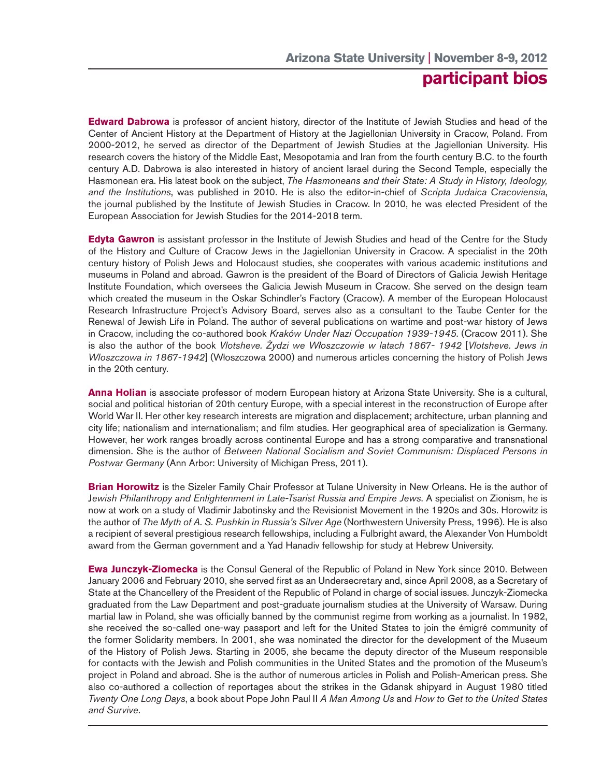## **participant bios**

**Edward Dabrowa** is professor of ancient history, director of the Institute of Jewish Studies and head of the Center of Ancient History at the Department of History at the Jagiellonian University in Cracow, Poland. From 2000-2012, he served as director of the Department of Jewish Studies at the Jagiellonian University. His research covers the history of the Middle East, Mesopotamia and Iran from the fourth century B.C. to the fourth century A.D. Dabrowa is also interested in history of ancient Israel during the Second Temple, especially the Hasmonean era. His latest book on the subject, The Hasmoneans and their State: A Study in History, Ideology, and the Institutions, was published in 2010. He is also the editor-in-chief of Scripta Judaica Cracoviensia, the journal published by the Institute of Jewish Studies in Cracow. In 2010, he was elected President of the European Association for Jewish Studies for the 2014-2018 term.

**Edyta Gawron** is assistant professor in the Institute of Jewish Studies and head of the Centre for the Study of the History and Culture of Cracow Jews in the Jagiellonian University in Cracow. A specialist in the 20th century history of Polish Jews and Holocaust studies, she cooperates with various academic institutions and museums in Poland and abroad. Gawron is the president of the Board of Directors of Galicia Jewish Heritage Institute Foundation, which oversees the Galicia Jewish Museum in Cracow. She served on the design team which created the museum in the Oskar Schindler's Factory (Cracow). A member of the European Holocaust Research Infrastructure Project's Advisory Board, serves also as a consultant to the Taube Center for the Renewal of Jewish Life in Poland. The author of several publications on wartime and post-war history of Jews in Cracow, including the co-authored book Kraków Under Nazi Occupation 1939-1945. (Cracow 2011). She is also the author of the book Vlotsheve. Żydzi we Włoszczowie w latach 1867- 1942 [Vlotsheve. Jews in Wloszczowa in 1867-1942] (Włoszczowa 2000) and numerous articles concerning the history of Polish Jews in the 20th century.

**Anna Holian** is associate professor of modern European history at Arizona State University. She is a cultural, social and political historian of 20th century Europe, with a special interest in the reconstruction of Europe after World War II. Her other key research interests are migration and displacement; architecture, urban planning and city life; nationalism and internationalism; and film studies. Her geographical area of specialization is Germany. However, her work ranges broadly across continental Europe and has a strong comparative and transnational dimension. She is the author of Between National Socialism and Soviet Communism: Displaced Persons in Postwar Germany (Ann Arbor: University of Michigan Press, 2011).

**Brian Horowitz** is the Sizeler Family Chair Professor at Tulane University in New Orleans. He is the author of Jewish Philanthropy and Enlightenment in Late-Tsarist Russia and Empire Jews. A specialist on Zionism, he is now at work on a study of Vladimir Jabotinsky and the Revisionist Movement in the 1920s and 30s. Horowitz is the author of The Myth of A. S. Pushkin in Russia's Silver Age (Northwestern University Press, 1996). He is also a recipient of several prestigious research fellowships, including a Fulbright award, the Alexander Von Humboldt award from the German government and a Yad Hanadiv fellowship for study at Hebrew University.

**Ewa Junczyk-Ziomecka** is the Consul General of the Republic of Poland in New York since 2010. Between January 2006 and February 2010, she served first as an Undersecretary and, since April 2008, as a Secretary of State at the Chancellery of the President of the Republic of Poland in charge of social issues. Junczyk-Ziomecka graduated from the Law Department and post-graduate journalism studies at the University of Warsaw. During martial law in Poland, she was officially banned by the communist regime from working as a journalist. In 1982, she received the so-called one-way passport and left for the United States to join the émigré community of the former Solidarity members. In 2001, she was nominated the director for the development of the Museum of the History of Polish Jews. Starting in 2005, she became the deputy director of the Museum responsible for contacts with the Jewish and Polish communities in the United States and the promotion of the Museum's project in Poland and abroad. She is the author of numerous articles in Polish and Polish-American press. She also co-authored a collection of reportages about the strikes in the Gdansk shipyard in August 1980 titled Twenty One Long Days, a book about Pope John Paul II A Man Among Us and How to Get to the United States and Survive.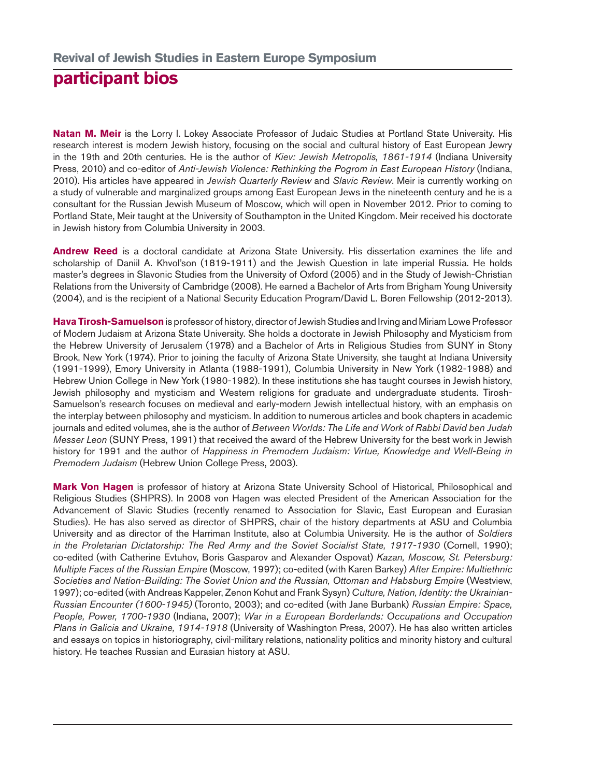## **participant bios**

**Natan M. Meir** is the Lorry I. Lokey Associate Professor of Judaic Studies at Portland State University. His research interest is modern Jewish history, focusing on the social and cultural history of East European Jewry in the 19th and 20th centuries. He is the author of Kiev: Jewish Metropolis, 1861-1914 (Indiana University Press, 2010) and co-editor of Anti-Jewish Violence: Rethinking the Pogrom in East European History (Indiana, 2010). His articles have appeared in Jewish Quarterly Review and Slavic Review. Meir is currently working on a study of vulnerable and marginalized groups among East European Jews in the nineteenth century and he is a consultant for the Russian Jewish Museum of Moscow, which will open in November 2012. Prior to coming to Portland State, Meir taught at the University of Southampton in the United Kingdom. Meir received his doctorate in Jewish history from Columbia University in 2003.

**Andrew Reed** is a doctoral candidate at Arizona State University. His dissertation examines the life and scholarship of Daniil A. Khvol'son (1819-1911) and the Jewish Question in late imperial Russia. He holds master's degrees in Slavonic Studies from the University of Oxford (2005) and in the Study of Jewish-Christian Relations from the University of Cambridge (2008). He earned a Bachelor of Arts from Brigham Young University (2004), and is the recipient of a National Security Education Program/David L. Boren Fellowship (2012-2013).

**Hava Tirosh-Samuelson** is professor of history, director of Jewish Studies and Irving and Miriam Lowe Professor of Modern Judaism at Arizona State University. She holds a doctorate in Jewish Philosophy and Mysticism from the Hebrew University of Jerusalem (1978) and a Bachelor of Arts in Religious Studies from SUNY in Stony Brook, New York (1974). Prior to joining the faculty of Arizona State University, she taught at Indiana University (1991-1999), Emory University in Atlanta (1988-1991), Columbia University in New York (1982-1988) and Hebrew Union College in New York (1980-1982). In these institutions she has taught courses in Jewish history, Jewish philosophy and mysticism and Western religions for graduate and undergraduate students. Tirosh-Samuelson's research focuses on medieval and early-modern Jewish intellectual history, with an emphasis on the interplay between philosophy and mysticism. In addition to numerous articles and book chapters in academic journals and edited volumes, she is the author of Between Worlds: The Life and Work of Rabbi David ben Judah Messer Leon (SUNY Press, 1991) that received the award of the Hebrew University for the best work in Jewish history for 1991 and the author of Happiness in Premodern Judaism: Virtue, Knowledge and Well-Being in Premodern Judaism (Hebrew Union College Press, 2003).

**Mark Von Hagen** is professor of history at Arizona State University School of Historical, Philosophical and Religious Studies (SHPRS). In 2008 von Hagen was elected President of the American Association for the Advancement of Slavic Studies (recently renamed to Association for Slavic, East European and Eurasian Studies). He has also served as director of SHPRS, chair of the history departments at ASU and Columbia University and as director of the Harriman Institute, also at Columbia University. He is the author of Soldiers in the Proletarian Dictatorship: The Red Army and the Soviet Socialist State, 1917-1930 (Cornell, 1990); co-edited (with Catherine Evtuhov, Boris Gasparov and Alexander Ospovat) Kazan, Moscow, St. Petersburg: Multiple Faces of the Russian Empire (Moscow, 1997); co-edited (with Karen Barkey) After Empire: Multiethnic Societies and Nation-Building: The Soviet Union and the Russian, Ottoman and Habsburg Empire (Westview, 1997); co-edited (with Andreas Kappeler, Zenon Kohut and Frank Sysyn) Culture, Nation, Identity: the Ukrainian-Russian Encounter (1600-1945) (Toronto, 2003); and co-edited (with Jane Burbank) Russian Empire: Space, People, Power, 1700-1930 (Indiana, 2007); War in a European Borderlands: Occupations and Occupation Plans in Galicia and Ukraine, 1914-1918 (University of Washington Press, 2007). He has also written articles and essays on topics in historiography, civil-military relations, nationality politics and minority history and cultural history. He teaches Russian and Eurasian history at ASU.